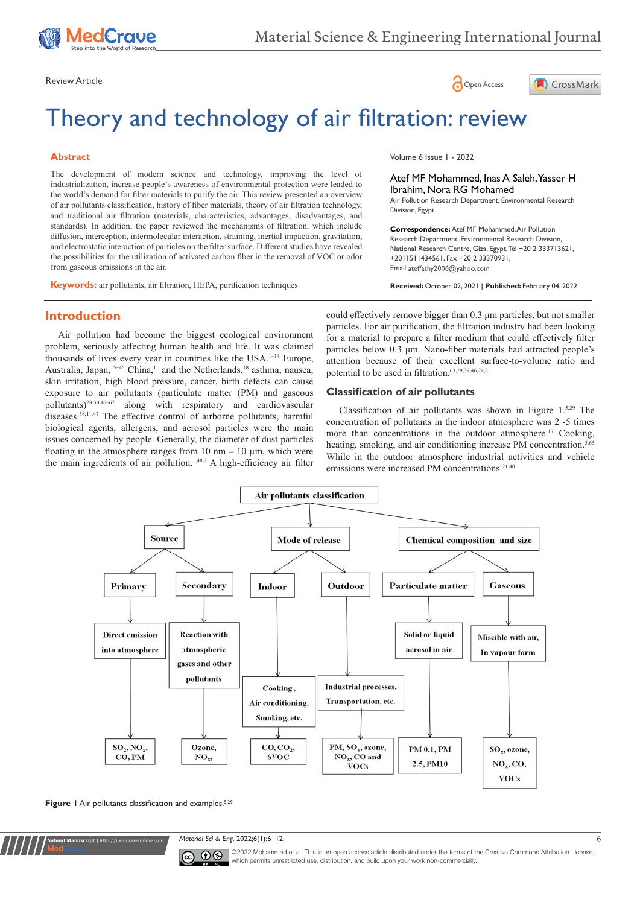





# Theory and technology of air filtration: review

#### **Abstract**

The development of modern science and technology, improving the level of industrialization, increase people's awareness of environmental protection were leaded to the world's demand for filter materials to purify the air. This review presented an overview of air pollutants classification, history of fiber materials, theory of air filtration technology, and traditional air filtration (materials, characteristics, advantages, disadvantages, and standards). In addition, the paper reviewed the mechanisms of filtration, which include diffusion, interception, intermolecular interaction, straining, inertial impaction, gravitation, and electrostatic interaction of particles on the filter surface. Different studies have revealed the possibilities for the utilization of activated carbon fiber in the removal of VOC or odor from gaseous emissions in the air.

**Keywords:** air pollutants, air filtration, HEPA, purification techniques

Volume 6 Issue 1 - 2022

#### Atef MF Mohammed, Inas A Saleh, Yasser H Ibrahim, Nora RG Mohamed

Air Pollution Research Department, Environmental Research Division, Egypt

**Correspondence:** Atef MF Mohammed, Air Pollution Research Department, Environmental Research Division, National Research Centre, Giza, Egypt, Tel +20 2 333713621, +2011511434561, Fax +20 2 33370931, Email ateffathy2006@yahoo.com

**Received:** October 02, 2021 | **Published:** February 04, 2022

# **Introduction**

Air pollution had become the biggest ecological environment problem, seriously affecting human health and life. It was claimed thousands of lives every year in countries like the USA.<sup>1-14</sup> Europe, Australia, Japan,<sup>15-45</sup> China,<sup>11</sup> and the Netherlands.<sup>18</sup> asthma, nausea, skin irritation, high blood pressure, cancer, birth defects can cause exposure to air pollutants (particulate matter (PM) and gaseous pollutants)28,30,46–67 along with respiratory and cardiovascular diseases.58,11,47 The effective control of airborne pollutants, harmful biological agents, allergens, and aerosol particles were the main issues concerned by people. Generally, the diameter of dust particles floating in the atmosphere ranges from  $10 \text{ nm} - 10 \text{ µm}$ , which were the main ingredients of air pollution.<sup>1,48,2</sup> A high-efficiency air filter could effectively remove bigger than 0.3 μm particles, but not smaller particles. For air purification, the filtration industry had been looking for a material to prepare a filter medium that could effectively filter particles below 0.3 μm. Nano-fiber materials had attracted people's attention because of their excellent surface-to-volume ratio and potential to be used in filtration.63,29,39,46,24,2

#### **Classification of air pollutants**

Classification of air pollutants was shown in Figure 1.5,29 The concentration of pollutants in the indoor atmosphere was 2 -5 times more than concentrations in the outdoor atmosphere.<sup>17</sup> Cooking, heating, smoking, and air conditioning increase PM concentration.<sup>5,65</sup> While in the outdoor atmosphere industrial activities and vehicle emissions were increased PM concentrations.<sup>21,40</sup>



Figure 1 Air pollutants classification and examples.<sup>5,29</sup>

**Kubmit Manuscript** | http://medcraveonline

*Material Sci & Eng.* 2022;6(1):6‒12. 6



©2022 Mohammed et al. This is an open access article distributed under the terms of the [Creative Commons Attribution License](https://creativecommons.org/licenses/by-nc/4.0/), which permits unrestricted use, distribution, and build upon your work non-commercially.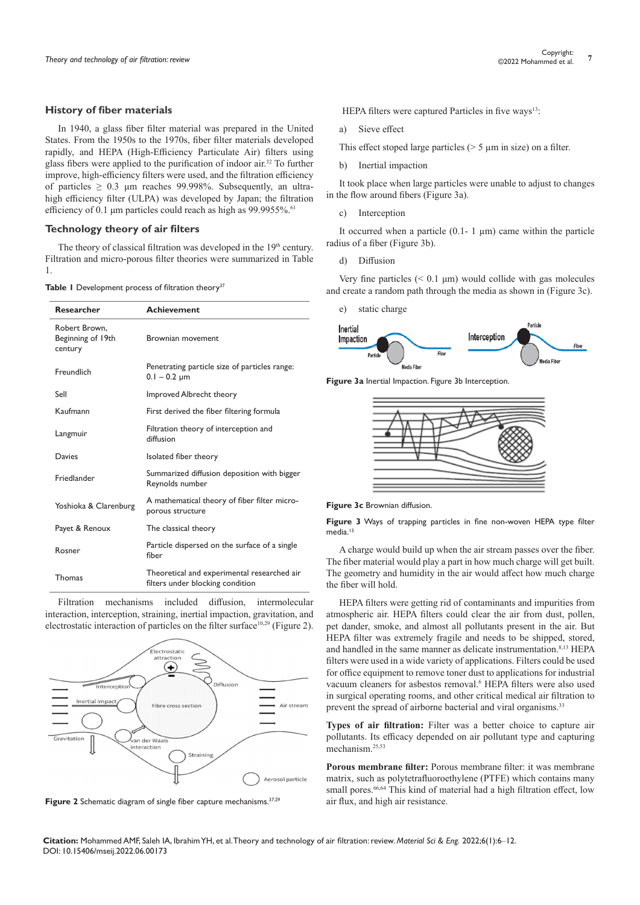#### **History of fiber materials**

In 1940, a glass fiber filter material was prepared in the United States. From the 1950s to the 1970s, fiber filter materials developed rapidly, and HEPA (High-Efficiency Particulate Air) filters using glass fibers were applied to the purification of indoor air.<sup>32</sup> To further improve, high-efficiency filters were used, and the filtration efficiency of particles  $\geq 0.3$  µm reaches 99.998%. Subsequently, an ultrahigh efficiency filter (ULPA) was developed by Japan; the filtration efficiency of 0.1 μm particles could reach as high as 99.9955%.<sup>61</sup>

#### **Technology theory of air filters**

The theory of classical filtration was developed in the  $19<sup>th</sup>$  century. Filtration and micro-porous filter theories were summarized in Table 1.

|  |  |  |  |  | Table I Development process of filtration theory <sup>37</sup> |  |
|--|--|--|--|--|----------------------------------------------------------------|--|
|--|--|--|--|--|----------------------------------------------------------------|--|

| <b>Researcher</b>                             | <b>Achievement</b>                                                              |
|-----------------------------------------------|---------------------------------------------------------------------------------|
| Robert Brown.<br>Beginning of 19th<br>century | Brownian movement                                                               |
| Freundlich                                    | Penetrating particle size of particles range:<br>$0.1 - 0.2 \mu m$              |
| Sell                                          | Improved Albrecht theory                                                        |
| Kaufmann                                      | First derived the fiber filtering formula                                       |
| Langmuir                                      | Filtration theory of interception and<br>diffusion                              |
| Davies                                        | Isolated fiber theory                                                           |
| Friedlander                                   | Summarized diffusion deposition with bigger<br>Reynolds number                  |
| Yoshioka & Clarenburg                         | A mathematical theory of fiber filter micro-<br>porous structure                |
| Payet & Renoux                                | The classical theory                                                            |
| Rosner                                        | Particle dispersed on the surface of a single<br>fiber                          |
| Thomas                                        | Theoretical and experimental researched air<br>filters under blocking condition |

Filtration mechanisms included diffusion, intermolecular interaction, interception, straining, inertial impaction, gravitation, and electrostatic interaction of particles on the filter surface<sup>10,29</sup> (Figure 2).



Figure 2 Schematic diagram of single fiber capture mechanisms.<sup>37,29</sup>

HEPA filters were captured Particles in five ways<sup>13</sup>:

- a) Sieve effect
- This effect stoped large particles  $($  > 5  $\mu$ m in size) on a filter.
- b) Inertial impaction

It took place when large particles were unable to adjust to changes in the flow around fibers (Figure 3a).

c) Interception

It occurred when a particle  $(0.1 - 1 \mu m)$  came within the particle radius of a fiber (Figure 3b).

d) Diffusion

Very fine particles  $( $0.1 \mu m$ )$  would collide with gas molecules and create a random path through the media as shown in (Figure 3c).





**Figure 3a** Inertial Impaction. Figure 3b Interception.





**Figure 3** Ways of trapping particles in fine non-woven HEPA type filter media<sup>13</sup>

A charge would build up when the air stream passes over the fiber. The fiber material would play a part in how much charge will get built. The geometry and humidity in the air would affect how much charge the fiber will hold.

HEPA filters were getting rid of contaminants and impurities from atmospheric air. HEPA filters could clear the air from dust, pollen, pet dander, smoke, and almost all pollutants present in the air. But HEPA filter was extremely fragile and needs to be shipped, stored, and handled in the same manner as delicate instrumentation.<sup>8,13</sup> HEPA filters were used in a wide variety of applications. Filters could be used for office equipment to remove toner dust to applications for industrial vacuum cleaners for asbestos removal.<sup>6</sup> HEPA filters were also used in surgical operating rooms, and other critical medical air filtration to prevent the spread of airborne bacterial and viral organisms.<sup>33</sup>

**Types of air filtration:** Filter was a better choice to capture air pollutants. Its efficacy depended on air pollutant type and capturing mechanism.25,53

**Porous membrane filter:** Porous membrane filter: it was membrane matrix, such as polytetrafluoroethylene (PTFE) which contains many small pores.<sup>66,64</sup> This kind of material had a high filtration effect, low air flux, and high air resistance.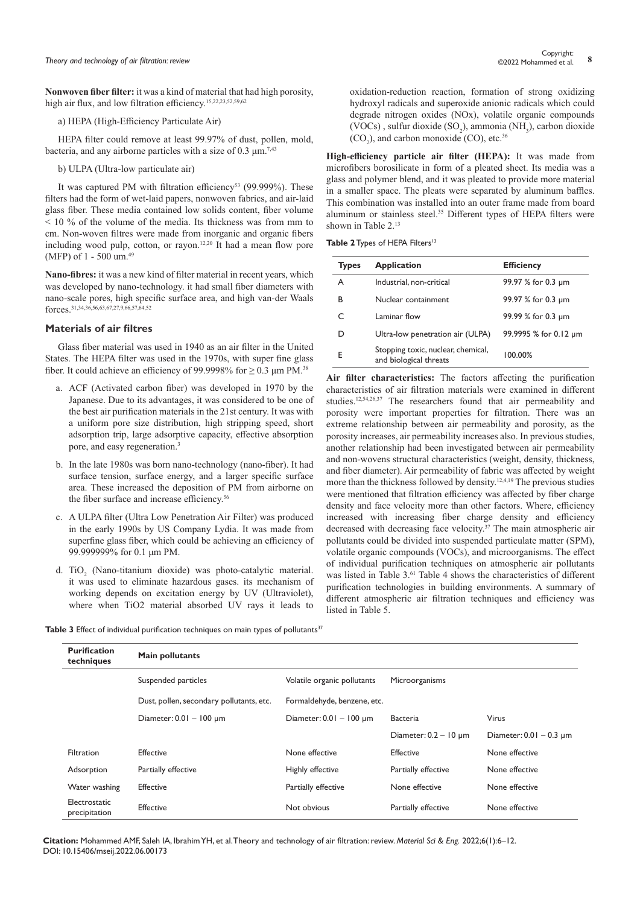**Nonwoven fiber filter:** it was a kind of material that had high porosity, high air flux, and low filtration efficiency.<sup>15,22,23,52,59,62</sup>

#### a) HEPA (High-Efficiency Particulate Air)

HEPA filter could remove at least 99.97% of dust, pollen, mold, bacteria, and any airborne particles with a size of  $0.3 \text{ nm}^{7,43}$ 

#### b) ULPA (Ultra-low particulate air)

It was captured PM with filtration efficiency<sup>53</sup> (99.999%). These filters had the form of wet-laid papers, nonwoven fabrics, and air-laid glass fiber. These media contained low solids content, fiber volume  $\leq$  10 % of the volume of the media. Its thickness was from mm to cm. Non-woven filtres were made from inorganic and organic fibers including wood pulp, cotton, or rayon.12,20 It had a mean flow pore (MFP) of 1 - 500 um.<sup>49</sup>

**Nano-fibres:** it was a new kind of filter material in recent years, which was developed by nano-technology. it had small fiber diameters with nano-scale pores, high specific surface area, and high van-der Waals  $\frac{1}{1}$ ,  $\frac{1}{2}$ ,  $\frac{1}{2}$ ,  $\frac{1}{2}$ ,  $\frac{1}{2}$ 

#### **Materials of air filtres**

Glass fiber material was used in 1940 as an air filter in the United States. The HEPA filter was used in the 1970s, with super fine glass fiber. It could achieve an efficiency of 99.9998% for  $\geq 0.3$  µm PM.<sup>38</sup>

- a. ACF (Activated carbon fiber) was developed in 1970 by the Japanese. Due to its advantages, it was considered to be one of the best air purification materials in the 21st century. It was with a uniform pore size distribution, high stripping speed, short adsorption trip, large adsorptive capacity, effective absorption pore, and easy regeneration.<sup>3</sup>
- b. In the late 1980s was born nano-technology (nano-fiber). It had surface tension, surface energy, and a larger specific surface area. These increased the deposition of PM from airborne on the fiber surface and increase efficiency.<sup>56</sup>
- c. A ULPA filter (Ultra Low Penetration Air Filter) was produced in the early 1990s by US Company Lydia. It was made from superfine glass fiber, which could be achieving an efficiency of 99.999999% for 0.1 μm PM.
- d. TiO<sub>2</sub> (Nano-titanium dioxide) was photo-catalytic material. it was used to eliminate hazardous gases. its mechanism of working depends on excitation energy by UV (Ultraviolet), where when TiO2 material absorbed UV rays it leads to

oxidation-reduction reaction, formation of strong oxidizing hydroxyl radicals and superoxide anionic radicals which could degrade nitrogen oxides (NOx), volatile organic compounds (VOCs), sulfur dioxide  $(SO_2)$ , ammonia  $(NH_3)$ , carbon dioxide  $(CO_2)$ , and carbon monoxide  $(CO)$ , etc.<sup>36</sup>

**High-efficiency particle air filter (HEPA):** It was made from microfibers borosilicate in form of a pleated sheet. Its media was a glass and polymer blend, and it was pleated to provide more material in a smaller space. The pleats were separated by aluminum baffles. This combination was installed into an outer frame made from board aluminum or stainless steel.<sup>35</sup> Different types of HEPA filters were shown in Table 2.<sup>13</sup>

| Table 2 Types of HEPA Filters <sup>13</sup> |  |  |
|---------------------------------------------|--|--|
|---------------------------------------------|--|--|

| <b>Types</b> | <b>Application</b>                                           | <b>Efficiency</b>     |
|--------------|--------------------------------------------------------------|-----------------------|
| A            | Industrial, non-critical                                     | 99.97 % for 0.3 µm    |
| В            | Nuclear containment                                          | 99.97 % for 0.3 um    |
|              | Laminar flow                                                 | 99.99 % for 0.3 µm    |
| D            | Ultra-low penetration air (ULPA)                             | 99.9995 % for 0.12 um |
| E            | Stopping toxic, nuclear, chemical,<br>and biological threats | 100.00%               |

**Air filter characteristics:** The factors affecting the purification characteristics of air filtration materials were examined in different studies.12,54,26,37 The researchers found that air permeability and porosity were important properties for filtration. There was an extreme relationship between air permeability and porosity, as the porosity increases, air permeability increases also. In previous studies, another relationship had been investigated between air permeability and non-wovens structural characteristics (weight, density, thickness, and fiber diameter). Air permeability of fabric was affected by weight more than the thickness followed by density.12,4,19 The previous studies were mentioned that filtration efficiency was affected by fiber charge density and face velocity more than other factors. Where, efficiency increased with increasing fiber charge density and efficiency decreased with decreasing face velocity.37 The main atmospheric air pollutants could be divided into suspended particulate matter (SPM), volatile organic compounds (VOCs), and microorganisms. The effect of individual purification techniques on atmospheric air pollutants was listed in Table 3.<sup>61</sup> Table 4 shows the characteristics of different purification technologies in building environments. A summary of different atmospheric air filtration techniques and efficiency was listed in Table 5.

| <b>Table 3</b> Effect of individual purification techniques on main types of pollutants $^{37}$ |  |  |  |
|-------------------------------------------------------------------------------------------------|--|--|--|
|-------------------------------------------------------------------------------------------------|--|--|--|

| <b>Purification</b><br>techniques | Main pollutants                          |                              |                            |                              |
|-----------------------------------|------------------------------------------|------------------------------|----------------------------|------------------------------|
|                                   | Suspended particles                      | Volatile organic pollutants  | Microorganisms             |                              |
|                                   | Dust, pollen, secondary pollutants, etc. | Formaldehyde, benzene, etc.  |                            |                              |
|                                   | Diameter: $0.01 - 100 \mu m$             | Diameter: $0.01 - 100 \mu m$ | <b>Bacteria</b>            | Virus                        |
|                                   |                                          |                              | Diameter: $0.2 - 10 \mu m$ | Diameter: $0.01 - 0.3 \mu m$ |
| Filtration                        | Effective                                | None effective               | <b>Effective</b>           | None effective               |
| Adsorption                        | Partially effective                      | Highly effective             | Partially effective        | None effective               |
| Water washing                     | <b>Effective</b>                         | Partially effective          | None effective             | None effective               |
| Electrostatic<br>precipitation    | <b>Effective</b>                         | Not obvious                  | Partially effective        | None effective               |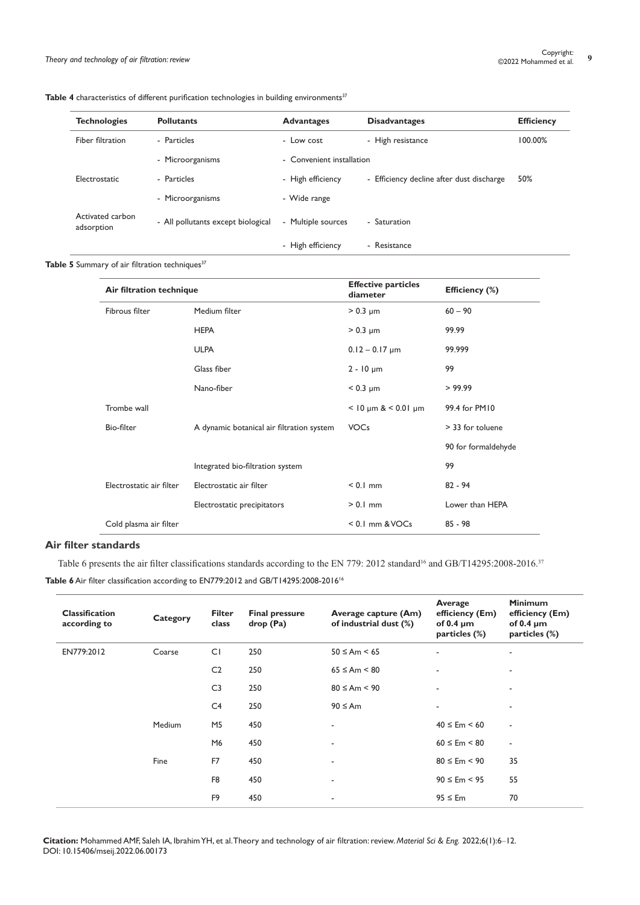| <b>Table 4</b> characteristics of different purification technologies in building environments <sup>37</sup> |  |
|--------------------------------------------------------------------------------------------------------------|--|
|--------------------------------------------------------------------------------------------------------------|--|

| <b>Technologies</b>            | <b>Pollutants</b>                  | <b>Advantages</b>         | <b>Disadvantages</b>                      | <b>Efficiency</b> |
|--------------------------------|------------------------------------|---------------------------|-------------------------------------------|-------------------|
| Fiber filtration               | - Particles                        | - Low cost                | - High resistance                         | 100.00%           |
|                                | - Microorganisms                   | - Convenient installation |                                           |                   |
| Electrostatic                  | - Particles                        | - High efficiency         | - Efficiency decline after dust discharge | 50%               |
|                                | - Microorganisms                   | - Wide range              |                                           |                   |
| Activated carbon<br>adsorption | - All pollutants except biological | - Multiple sources        | - Saturation                              |                   |
|                                |                                    | - High efficiency         | - Resistance                              |                   |

# Table 5 Summary of air filtration techniques<sup>37</sup>

| Air filtration technique |                                           | <b>Effective particles</b><br>diameter | Efficiency (%)      |  |
|--------------------------|-------------------------------------------|----------------------------------------|---------------------|--|
| Fibrous filter           | Medium filter                             | $> 0.3 \mu m$                          | $60 - 90$           |  |
|                          | <b>HEPA</b>                               | $> 0.3 \mu m$                          | 99.99               |  |
|                          | <b>ULPA</b>                               | $0.12 - 0.17 \mu m$                    | 99.999              |  |
|                          | Glass fiber                               | $2 - 10 \mu m$                         | 99                  |  |
|                          | Nano-fiber                                | $< 0.3 \mu m$                          | > 99.99             |  |
| Trombe wall              |                                           | $<$ 10 µm & $<$ 0.01 µm                | 99.4 for PM10       |  |
| Bio-filter               | A dynamic botanical air filtration system | <b>VOCs</b>                            | > 33 for toluene    |  |
|                          |                                           |                                        | 90 for formaldehyde |  |
|                          | Integrated bio-filtration system          |                                        | 99                  |  |
| Electrostatic air filter | Electrostatic air filter                  | $< 0.1$ mm                             | $82 - 94$           |  |
|                          | Electrostatic precipitators               | $> 0.1$ mm                             | Lower than HEPA     |  |
| Cold plasma air filter   |                                           | $< 0.1$ mm & VOCs                      | $85 - 98$           |  |

### **Air filter standards**

Table 6 presents the air filter classifications standards according to the EN 779: 2012 standard<sup>16</sup> and GB/T14295:2008-2016.<sup>37</sup> **Table 6** Air filter classification according to EN779:2012 and GB/T14295:2008-2016<sup>16</sup>

| <b>Classification</b><br>according to | Category | <b>Filter</b><br>class | <b>Final pressure</b><br>drop (Pa) | Average capture (Am)<br>of industrial dust (%) | Average<br>efficiency (Em)<br>of 0.4 $\mu$ m<br>particles (%) | <b>Minimum</b><br>efficiency (Em)<br>of 0.4 $\mu$ m<br>particles (%) |
|---------------------------------------|----------|------------------------|------------------------------------|------------------------------------------------|---------------------------------------------------------------|----------------------------------------------------------------------|
| EN779:2012                            | Coarse   | CI                     | 250                                | $50 \leq Am \leq 65$                           | ٠                                                             | $\overline{\phantom{a}}$                                             |
|                                       |          | C <sub>2</sub>         | 250                                | $65 \leq Am \leq 80$                           | ٠                                                             | $\overline{\phantom{a}}$                                             |
|                                       |          | C <sub>3</sub>         | 250                                | $80 \leq Am \leq 90$                           | ٠                                                             | $\overline{\phantom{a}}$                                             |
|                                       |          | C <sub>4</sub>         | 250                                | $90 \leq A$ m                                  | ٠                                                             | $\overline{\phantom{a}}$                                             |
|                                       | Medium   | M5                     | 450                                | $\blacksquare$                                 | $40 \leq Em \leq 60$                                          | $\overline{\phantom{a}}$                                             |
|                                       |          | M6                     | 450                                | ٠                                              | $60 \leq Em \leq 80$                                          | $\overline{\phantom{a}}$                                             |
|                                       | Fine     | F7                     | 450                                | ٠                                              | $80 \leq Em \leq 90$                                          | 35                                                                   |
|                                       |          | F <sub>8</sub>         | 450                                | ٠                                              | $90 \leq Em < 95$                                             | 55                                                                   |
|                                       |          | F <sub>9</sub>         | 450                                | $\overline{\phantom{a}}$                       | $95 \leq Em$                                                  | 70                                                                   |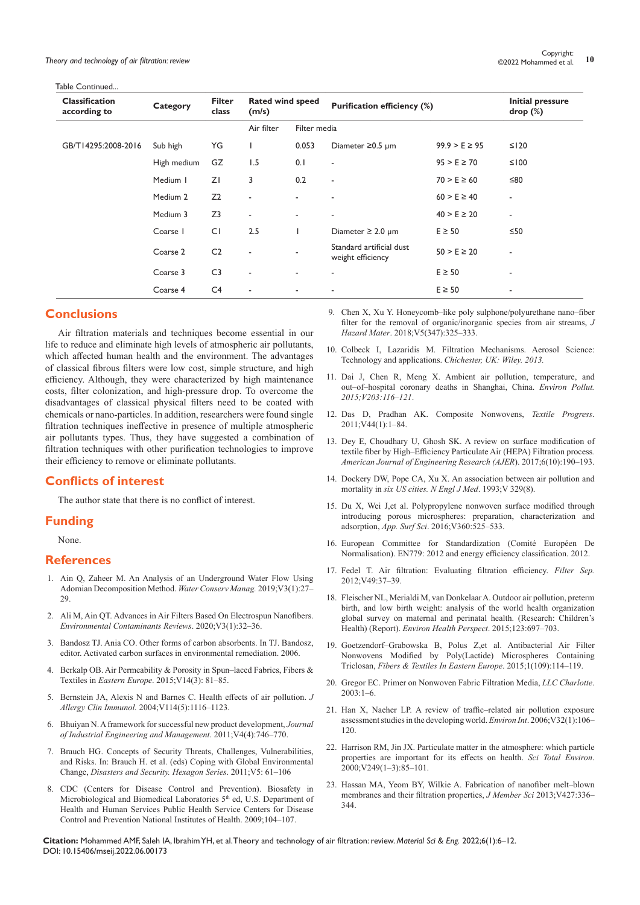Table Continued...

| <b>Classification</b><br>according to | Category    | <b>Filter</b><br>class | <b>Rated wind speed</b><br>(m/s) |              | <b>Purification efficiency (%)</b>            |                   | <b>Initial pressure</b><br>drop (%) |
|---------------------------------------|-------------|------------------------|----------------------------------|--------------|-----------------------------------------------|-------------------|-------------------------------------|
|                                       |             |                        | Air filter                       | Filter media |                                               |                   |                                     |
| GB/T14295:2008-2016                   | Sub high    | YG                     |                                  | 0.053        | Diameter $\geq 0.5$ µm                        | $99.9 > E \ge 95$ | $\leq$   20                         |
|                                       | High medium | GZ                     | 1.5                              | 0.1          | ٠                                             | $95 > E \ge 70$   | ≤100                                |
|                                       | Medium I    | ZI                     | 3                                | 0.2          | ٠                                             | $70 > E \ge 60$   | ≤80                                 |
|                                       | Medium 2    | Z <sub>2</sub>         | $\blacksquare$                   |              | ٠                                             | $60 > E \ge 40$   | $\blacksquare$                      |
|                                       | Medium 3    | Z <sub>3</sub>         | $\blacksquare$                   | ٠            | ٠                                             | $40 > E \ge 20$   | $\overline{\phantom{a}}$            |
|                                       | Coarse I    | CI                     | 2.5                              |              | Diameter $\geq$ 2.0 µm                        | $E \geq 50$       | ≤50                                 |
|                                       | Coarse 2    | C <sub>2</sub>         | $\overline{a}$                   |              | Standard artificial dust<br>weight efficiency | $50 > E \ge 20$   | $\overline{\phantom{a}}$            |
|                                       | Coarse 3    | C <sub>3</sub>         | ٠                                |              | ٠                                             | $E \geq 50$       | ٠                                   |
|                                       | Coarse 4    | C <sub>4</sub>         | ٠                                |              |                                               | $E \geq 50$       | ٠                                   |

# **Conclusions**

Air filtration materials and techniques become essential in our life to reduce and eliminate high levels of atmospheric air pollutants, which affected human health and the environment. The advantages of classical fibrous filters were low cost, simple structure, and high efficiency. Although, they were characterized by high maintenance costs, filter colonization, and high-pressure drop. To overcome the disadvantages of classical physical filters need to be coated with chemicals or nano-particles. In addition, researchers were found single filtration techniques ineffective in presence of multiple atmospheric air pollutants types. Thus, they have suggested a combination of filtration techniques with other purification technologies to improve their efficiency to remove or eliminate pollutants.

# **Conflicts of interest**

The author state that there is no conflict of interest.

# **Funding**

None.

#### **References**

- 1. [Ain Q, Zaheer M. An Analysis of an Underground Water Flow Using](https://ideas.repec.org/a/zib/zbnwcm/v3y2019i1p27-29.html)  [Adomian Decomposition Method.](https://ideas.repec.org/a/zib/zbnwcm/v3y2019i1p27-29.html) *Water Conserv Manag.* 2019;V3(1):27– [29.](https://ideas.repec.org/a/zib/zbnwcm/v3y2019i1p27-29.html)
- 2. [Ali M, Ain QT. Advances in Air Filters Based On Electrospun Nanofibers.](https://ideas.repec.org/a/zib/zbnecr/v3y2020i1p32-36.html)  *[Environmental Contaminants Reviews](https://ideas.repec.org/a/zib/zbnecr/v3y2020i1p32-36.html)*. 2020;V3(1):32–36.
- 3. [Bandosz TJ. Ania CO. Other forms of carbon absorbents. In TJ. Bandosz,](https://www.elsevier.com/books/activated-carbon-surfaces-in-environmental-remediation/bandosz/978-0-12-370536-5)  [editor. Activated carbon surfaces in environmental remediation. 2006.](https://www.elsevier.com/books/activated-carbon-surfaces-in-environmental-remediation/bandosz/978-0-12-370536-5)
- 4. [Berkalp OB. Air Permeability & Porosity in Spun–laced Fabrics, Fibers &](https://books.google.co.in/books?id=_LkrDwAAQBAJ&pg=SA5-PA25&lpg=SA5-PA25&dq=Berkalp+OB.+(2015).+Air+Permeability+%26+Porosity+in+Spun-laced+Fabrics,+Fibers+%26+Textiles+in+Eastern+Europe,+2015,+14,+3(57);+81-85.&source=bl&ots=cCs8yJN0RS&sig=ACfU3U2AgVxmTni1sPNDMnxf-r5UuH3k9A&hl=en&sa=X&ved=2ahUKEwixl_-hquH1AhW7w4sBHTyMAs4Q6AF6BAgzEAM#v=onepage&q=Berkalp OB. (2015). Air Permeability %26 Porosity in Spun-laced Fabrics%2C Fibers %26 Textiles in Eastern Europe%2C 2015%2C 14%2C 3(57)%3B 81-85.&f=false)  Textiles in *Eastern Europe*[. 2015;V14\(3\): 81–85.](https://books.google.co.in/books?id=_LkrDwAAQBAJ&pg=SA5-PA25&lpg=SA5-PA25&dq=Berkalp+OB.+(2015).+Air+Permeability+%26+Porosity+in+Spun-laced+Fabrics,+Fibers+%26+Textiles+in+Eastern+Europe,+2015,+14,+3(57);+81-85.&source=bl&ots=cCs8yJN0RS&sig=ACfU3U2AgVxmTni1sPNDMnxf-r5UuH3k9A&hl=en&sa=X&ved=2ahUKEwixl_-hquH1AhW7w4sBHTyMAs4Q6AF6BAgzEAM#v=onepage&q=Berkalp OB. (2015). Air Permeability %26 Porosity in Spun-laced Fabrics%2C Fibers %26 Textiles in Eastern Europe%2C 2015%2C 14%2C 3(57)%3B 81-85.&f=false)
- 5. [Bernstein JA, Alexis N and Barnes C. Health effects of air pollution.](https://pubmed.ncbi.nlm.nih.gov/15536419/) *J Allergy Clin Immunol.* [2004;V114\(5\):1116–1123.](https://pubmed.ncbi.nlm.nih.gov/15536419/)
- 6. [Bhuiyan N. A framework for successful new product development,](https://www.jiem.org/index.php/jiem/article/view/334) *Journal [of Industrial Engineering and Management](https://www.jiem.org/index.php/jiem/article/view/334)*. 2011;V4(4):746–770.
- 7. [Brauch HG. Concepts of Security Threats, Challenges, Vulnerabilities,](https://link.springer.com/chapter/10.1007/978-3-642-17776-7_2)  [and Risks. In: Brauch H. et al. \(eds\) Coping with Global Environmental](https://link.springer.com/chapter/10.1007/978-3-642-17776-7_2)  Change, *[Disasters and Security. Hexagon Series](https://link.springer.com/chapter/10.1007/978-3-642-17776-7_2)*. 2011;V5: 61–106
- 8. [CDC \(Centers for Disease Control and Prevention\). Biosafety in](https://www.cdc.gov/labs/pdf/CDC-BiosafetymicrobiologicalBiomedicalLaboratories-2009-P.pdf)  [Microbiological and Biomedical Laboratories 5](https://www.cdc.gov/labs/pdf/CDC-BiosafetymicrobiologicalBiomedicalLaboratories-2009-P.pdf)<sup>th</sup> ed, U.S. Department of [Health and Human Services Public Health Service Centers for Disease](https://www.cdc.gov/labs/pdf/CDC-BiosafetymicrobiologicalBiomedicalLaboratories-2009-P.pdf)  [Control and Prevention National Institutes of Health. 2009;104–107.](https://www.cdc.gov/labs/pdf/CDC-BiosafetymicrobiologicalBiomedicalLaboratories-2009-P.pdf)
- 9. [Chen X, Xu Y. Honeycomb–like poly sulphone/polyurethane nano–fiber](https://pubmed.ncbi.nlm.nih.gov/29331927/)  [filter for the removal of organic/inorganic species from air streams,](https://pubmed.ncbi.nlm.nih.gov/29331927/) *J Hazard Mater*[. 2018;V5\(347\):325–333.](https://pubmed.ncbi.nlm.nih.gov/29331927/)
- 10. [Colbeck I, Lazaridis M. Filtration Mechanisms. Aerosol Science:](https://onlinelibrary.wiley.com/doi/book/10.1002/9781118682555)  [Technology and applications.](https://onlinelibrary.wiley.com/doi/book/10.1002/9781118682555) *Chichester, UK: Wiley. 2013.*
- 11. [Dai J, Chen R, Meng X. Ambient air pollution, temperature, and](https://pubmed.ncbi.nlm.nih.gov/25875162/)  [out–of–hospital coronary deaths in Shanghai, China.](https://pubmed.ncbi.nlm.nih.gov/25875162/) *Environ Pollut. [2015;V203:116–121](https://pubmed.ncbi.nlm.nih.gov/25875162/)*.
- 12. [Das D, Pradhan AK. Composite Nonwovens,](https://www.tandfonline.com/doi/abs/10.1080/00405167.2012.670014) *Textile Progress*. [2011;V44\(1\):1–84.](https://www.tandfonline.com/doi/abs/10.1080/00405167.2012.670014)
- 13. [Dey E, Choudhary U, Ghosh SK. A review on surface modification of](https://www.ajer.org/papers/v6(10)/Z0610190193.pdf)  [textile fiber by High–Efficiency Particulate Air \(HEPA\) Filtration process](https://www.ajer.org/papers/v6(10)/Z0610190193.pdf)*. [American Journal of Engineering Research \(AJER](https://www.ajer.org/papers/v6(10)/Z0610190193.pdf)*). 2017;6(10):190–193.
- 14. [Dockery DW, Pope CA, Xu X. An association between air pollution and](https://www.nejm.org/doi/full/10.1056/nejm199312093292401)  mortality in *[six US cities. N Engl J Med](https://www.nejm.org/doi/full/10.1056/nejm199312093292401)*. 1993;V 329(8).
- 15. [Du X, Wei J,et al. Polypropylene nonwoven surface modified through](https://zh.booksc.eu/book/48666932/6f114b)  [introducing porous microspheres: preparation, characterization and](https://zh.booksc.eu/book/48666932/6f114b)  adsorption, *App. Surf Sci*[. 2016;V360:525–533.](https://zh.booksc.eu/book/48666932/6f114b)
- 16. European Committee for Standardization (Comité Européen De Normalisation). EN779: 2012 and energy efficiency classification. 2012.
- 17. [Fedel T. Air filtration: Evaluating filtration efficiency.](https://www.infona.pl/resource/bwmeta1.element.elsevier-a0c6f7ce-d268-3d2a-bd80-e22d116e7062) *Filter Sep.* [2012;V49:37–39.](https://www.infona.pl/resource/bwmeta1.element.elsevier-a0c6f7ce-d268-3d2a-bd80-e22d116e7062)
- 18. Fleischer NL, Merialdi M, van Donkelaar A. Outdoor air pollution, preterm birth, and low birth weight: analysis of the world health organization global survey on maternal and perinatal health. (Research: Children's Health) (Report). *Environ Health Perspect*. 2015;123:697–703.
- 19. [Goetzendorf–Grabowska B, Polus Z,et al. Antibacterial Air Filter](https://studylib.net/doc/10969146/antibacterial-air-filter-nonwovens-modified-by-poly-lacti...)  [Nonwovens Modified by Poly\(Lactide\) Microspheres Containing](https://studylib.net/doc/10969146/antibacterial-air-filter-nonwovens-modified-by-poly-lacti...)  Triclosan, *[Fibers & Textiles In Eastern Europe](https://studylib.net/doc/10969146/antibacterial-air-filter-nonwovens-modified-by-poly-lacti...)*. 2015;1(109):114–119.
- 20. [Gregor EC. Primer on Nonwoven Fabric Filtration Media,](https://www.chemicalprocessing.com/assets/Media/MediaManager/NonwvnFabricFiltrMedia.pdf) *LLC Charlotte*.  $2003:1-6$ .
- 21. [Han X, Naeher LP. A review of traffic–related air pollution exposure](https://pubmed.ncbi.nlm.nih.gov/16005066/)  [assessment studies in the developing world.](https://pubmed.ncbi.nlm.nih.gov/16005066/) *Environ Int*. 2006;V32(1):106– [120.](https://pubmed.ncbi.nlm.nih.gov/16005066/)
- 22. [Harrison RM, Jin JX. Particulate matter in the atmosphere: which particle](https://pubmed.ncbi.nlm.nih.gov/10813449/)  [properties are important for its effects on health.](https://pubmed.ncbi.nlm.nih.gov/10813449/) *Sci Total Environ*. [2000;V249\(1–3\):85–101.](https://pubmed.ncbi.nlm.nih.gov/10813449/)
- 23. [Hassan MA, Yeom BY, Wilkie A. Fabrication of nanofiber melt–blown](https://www.sciencedirect.com/science/article/abs/pii/S037673881200734X)  [membranes and their filtration properties,](https://www.sciencedirect.com/science/article/abs/pii/S037673881200734X) *J Member Sci* 2013;V427:336– [344.](https://www.sciencedirect.com/science/article/abs/pii/S037673881200734X)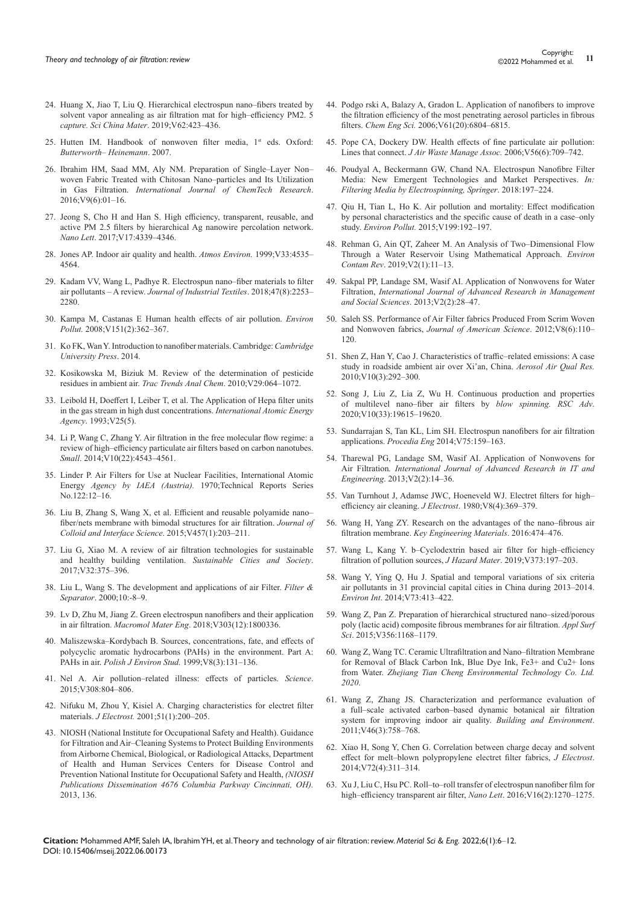- 24. [Huang X, Jiao T, Liu Q. Hierarchical electrospun nano–fibers treated by](https://scholars.cmich.edu/en/publications/hierarchical-electrospun-nanofibers-treated-by-solvent-vapor-anne-2)  [solvent vapor annealing as air filtration mat for high–efficiency PM2. 5](https://scholars.cmich.edu/en/publications/hierarchical-electrospun-nanofibers-treated-by-solvent-vapor-anne-2)  *[capture. Sci China Mater](https://scholars.cmich.edu/en/publications/hierarchical-electrospun-nanofibers-treated-by-solvent-vapor-anne-2)*. 2019;V62:423–436.
- 25. [Hutten IM. Handbook of nonwoven filter media, 1](https://www.elsevier.com/books/handbook-of-nonwoven-filter-media/hutten/978-1-85617-441-1)<sup>st</sup> eds. Oxford: *[Butterworth– Heinemann](https://www.elsevier.com/books/handbook-of-nonwoven-filter-media/hutten/978-1-85617-441-1)*. 2007.
- 26. Ibrahim HM, Saad MM, Aly NM. Preparation of Single–Layer Non– woven Fabric Treated with Chitosan Nano–particles and Its Utilization in Gas Filtration. *International Journal of ChemTech Research*. 2016;V9(6):01–16.
- 27. [Jeong S, Cho H and Han S. High efficiency, transparent, reusable, and](https://pubs.acs.org/doi/10.1021/acs.nanolett.7b01404)  [active PM 2.5 filters by hierarchical Ag nanowire percolation network.](https://pubs.acs.org/doi/10.1021/acs.nanolett.7b01404)  *Nano Lett*[. 2017;V17:4339–4346.](https://pubs.acs.org/doi/10.1021/acs.nanolett.7b01404)
- 28. [Jones AP. Indoor air quality and health.](https://www.scirp.org/(S(lz5mqp453edsnp55rrgjct55))/reference/ReferencesPapers.aspx?ReferenceID=1910796) *Atmos Environ.* 1999;V33:4535– [4564.](https://www.scirp.org/(S(lz5mqp453edsnp55rrgjct55))/reference/ReferencesPapers.aspx?ReferenceID=1910796)
- 29. [Kadam VV, Wang L, Padhye R. Electrospun nano–fiber materials to filter](https://journals.sagepub.com/doi/abs/10.1177/1528083716676812)  air pollutants – A review. *[Journal of Industrial Textiles](https://journals.sagepub.com/doi/abs/10.1177/1528083716676812)*. 2018;47(8):2253– [2280.](https://journals.sagepub.com/doi/abs/10.1177/1528083716676812)
- 30. [Kampa M, Castanas E Human health effects of air pollution.](https://pubmed.ncbi.nlm.nih.gov/17646040/) *Environ Pollut.* [2008;V151\(2\):362–367.](https://pubmed.ncbi.nlm.nih.gov/17646040/)
- 31. [Ko FK, Wan Y. Introduction to nanofiber materials. Cambridge:](https://www.cambridge.org/core/books/abs/introduction-to-nanofiber-materials/introduction/FB834E28B617B9BD02861BB8CECF7517) *Cambridge [University Press](https://www.cambridge.org/core/books/abs/introduction-to-nanofiber-materials/introduction/FB834E28B617B9BD02861BB8CECF7517)*. 2014.
- 32. [Kosikowska M, Biziuk M. Review of the determination of pesticide](https://www.researchgate.net/publication/222161162_Review_of_the_Determination_of_Pesticide_Residues_in_Ambient_Air)  [residues in ambient air.](https://www.researchgate.net/publication/222161162_Review_of_the_Determination_of_Pesticide_Residues_in_Ambient_Air) *Trac Trends Anal Chem*. 2010;V29:064–1072.
- 33. Leibold H, Doeffert I, Leiber T, et al. The Application of Hepa filter units in the gas stream in high dust concentrations. *International Atomic Energy Agency*. 1993;V25(5).
- 34. [Li P, Wang C, Zhang Y. Air filtration in the free molecular flow regime: a](https://pubmed.ncbi.nlm.nih.gov/25288476/)  [review of high–efficiency particulate air filters based on carbon nanotubes.](https://pubmed.ncbi.nlm.nih.gov/25288476/)  *Small*[. 2014;V10\(22\):4543–4561.](https://pubmed.ncbi.nlm.nih.gov/25288476/)
- 35. [Linder P. Air Filters for Use at Nuclear Facilities, International Atomic](https://www.iaea.org/publications/1223/air-filters-for-use-at-nuclear-facilities)  Energy *Agency by IAEA (Austria).* [1970;Technical Reports Series](https://www.iaea.org/publications/1223/air-filters-for-use-at-nuclear-facilities)  [No.122:12–16.](https://www.iaea.org/publications/1223/air-filters-for-use-at-nuclear-facilities)
- 36. [Liu B, Zhang S, Wang X, et al. Efficient and reusable polyamide nano–](https://pubmed.ncbi.nlm.nih.gov/26188726/) [fiber/nets membrane with bimodal structures for air filtration.](https://pubmed.ncbi.nlm.nih.gov/26188726/) *Journal of [Colloid and Interface Science](https://pubmed.ncbi.nlm.nih.gov/26188726/)*. 2015;V457(1):203–211.
- 37. [Liu G, Xiao M. A review of air filtration technologies for sustainable](https://centaur.reading.ac.uk/71549/1/A review of air filtrati)  [and healthy building ventilation.](https://centaur.reading.ac.uk/71549/1/A review of air filtrati) *Sustainable Cities and Society*. [2017;V32:375–396.](https://centaur.reading.ac.uk/71549/1/A review of air filtrati)
- 38. Liu L, Wang S. The development and applications of air Filter. *Filter & Separator*. 2000;10:-8–9.
- 39. [Lv D, Zhu M, Jiang Z. Green electrospun nanofibers and their application](https://onlinelibrary.wiley.com/doi/abs/10.1002/mame.201800336)  in air filtration. *Macromol Mater Eng*[. 2018;V303\(12\):1800336.](https://onlinelibrary.wiley.com/doi/abs/10.1002/mame.201800336)
- 40. [Maliszewska–Kordybach B. Sources, concentrations, fate, and effects of](http://www.pjoes.com/Sources-Concentrations-Fate-and-Effects-of-Polycyclic-Aromatic-Hydrocarbons-PAHs,87230,0,2.html)  [polycyclic aromatic hydrocarbons \(PAHs\) in the environment. Part A:](http://www.pjoes.com/Sources-Concentrations-Fate-and-Effects-of-Polycyclic-Aromatic-Hydrocarbons-PAHs,87230,0,2.html)  PAHs in air. *[Polish J Environ Stud.](http://www.pjoes.com/Sources-Concentrations-Fate-and-Effects-of-Polycyclic-Aromatic-Hydrocarbons-PAHs,87230,0,2.html)* 1999;V8(3):131–136.
- 41. [Nel A. Air pollution–related illness: effects of particles.](https://scirp.org/reference/referencespapers.aspx?referenceid=1533154) *Science*. [2015;V308:804–806.](https://scirp.org/reference/referencespapers.aspx?referenceid=1533154)
- 42. [Nifuku M, Zhou Y, Kisiel A. Charging characteristics for electret filter](https://www.researchgate.net/publication/245061285_Charging_characteristics_for_electret_filter_materials)  materials. *J Electrost.* [2001;51\(1\):200–205.](https://www.researchgate.net/publication/245061285_Charging_characteristics_for_electret_filter_materials)
- 43. [NIOSH \(National Institute for Occupational Safety and Health\). Guidance](https://www.cdc.gov/niosh/docs/2003-136/default.html)  [for Filtration and Air–Cleaning Systems to Protect Building Environments](https://www.cdc.gov/niosh/docs/2003-136/default.html)  [from Airborne Chemical, Biological, or Radiological Attacks, Department](https://www.cdc.gov/niosh/docs/2003-136/default.html)  [of Health and Human Services Centers for Disease Control and](https://www.cdc.gov/niosh/docs/2003-136/default.html)  [Prevention National Institute for Occupational Safety and Health,](https://www.cdc.gov/niosh/docs/2003-136/default.html) *(NIOSH [Publications Dissemination 4676 Columbia Parkway Cincinnati, OH\).](https://www.cdc.gov/niosh/docs/2003-136/default.html)* [2013, 136.](https://www.cdc.gov/niosh/docs/2003-136/default.html)
- 44. [Podgo rski A, Balazy A, Gradon L. Application of nanofibers to improve](https://www.infona.pl/resource/bwmeta1.element.elsevier-7a732231-31f1-3bc5-ba12-f7258e86d0ca)  [the filtration efficiency of the most penetrating aerosol particles in fibrous](https://www.infona.pl/resource/bwmeta1.element.elsevier-7a732231-31f1-3bc5-ba12-f7258e86d0ca)  filters. *Chem Eng Sci.* [2006;V61\(20\):6804–6815.](https://www.infona.pl/resource/bwmeta1.element.elsevier-7a732231-31f1-3bc5-ba12-f7258e86d0ca)
- 45. [Pope CA, Dockery DW. Health effects of fine particulate air pollution:](https://pubmed.ncbi.nlm.nih.gov/16805397/)  Lines that connect. *[J Air Waste Manage Assoc.](https://pubmed.ncbi.nlm.nih.gov/16805397/)* 2006;V56(6):709–742.
- 46. [Poudyal A, Beckermann GW, Chand NA. Electrospun Nanofibre Filter](https://app.dimensions.ai/details/publication/pub.1104131617)  [Media: New Emergent Technologies and Market Perspectives.](https://app.dimensions.ai/details/publication/pub.1104131617) *In: [Filtering Media by Electrospinning, Springer](https://app.dimensions.ai/details/publication/pub.1104131617)*. 2018:197–224.
- 47. [Qiu H, Tian L, Ho K. Air pollution and mortality: Effect modification](https://pubmed.ncbi.nlm.nih.gov/25679980/)  [by personal characteristics and the specific cause of death in a case–only](https://pubmed.ncbi.nlm.nih.gov/25679980/)  study. *Environ Pollut.* [2015;V199:192–197.](https://pubmed.ncbi.nlm.nih.gov/25679980/)
- 48. [Rehman G, Ain QT, Zaheer M. An Analysis of Two–Dimensional Flow](https://ideas.repec.org/a/zib/zbnecr/v2y2019i1p11-13.html)  [Through a Water Reservoir Using Mathematical Approach.](https://ideas.repec.org/a/zib/zbnecr/v2y2019i1p11-13.html) *Environ Contam Rev*[. 2019;V2\(1\):11–13.](https://ideas.repec.org/a/zib/zbnecr/v2y2019i1p11-13.html)
- 49. [Sakpal PP, Landage SM, Wasif AI. Application of Nonwovens for Water](https://garph.co.uk/IJARMSS/Feb2013/3.pdf)  Filtration, *[International Journal of Advanced Research in Management](https://garph.co.uk/IJARMSS/Feb2013/3.pdf)  and Social Sciences*[. 2013;V2\(2\):28–47.](https://garph.co.uk/IJARMSS/Feb2013/3.pdf)
- 50. [Saleh SS. Performance of Air Filter fabrics Produced From Scrim Woven](http://www.jofamericanscience.org/journals/am-sci/am0806/013_9283am0806_110_120.pdf)  and Nonwoven fabrics, *[Journal of American Science](http://www.jofamericanscience.org/journals/am-sci/am0806/013_9283am0806_110_120.pdf)*. 2012;V8(6):110– [120.](http://www.jofamericanscience.org/journals/am-sci/am0806/013_9283am0806_110_120.pdf)
- 51. [Shen Z, Han Y, Cao J. Characteristics of traffic–related emissions: A case](https://aaqr.org/articles/aaqr-09-10-oa-0061)  [study in roadside ambient air over Xi'an, China.](https://aaqr.org/articles/aaqr-09-10-oa-0061) *Aerosol Air Qual Res.* [2010;V10\(3\):292–300.](https://aaqr.org/articles/aaqr-09-10-oa-0061)
- 52. [Song J, Liu Z, Lia Z, Wu H. Continuous production and properties](https://pubs.rsc.org/en/content/articlelanding/2020/ra/d0ra01656j)  [of multilevel nano–fiber air filters by](https://pubs.rsc.org/en/content/articlelanding/2020/ra/d0ra01656j) *blow spinning. RSC Adv*. [2020;V10\(33\):19615–19620.](https://pubs.rsc.org/en/content/articlelanding/2020/ra/d0ra01656j)
- 53. [Sundarrajan S, Tan KL, Lim SH. Electrospun nanofibers for air filtration](https://www.sciencedirect.com/science/article/pii/S1877705813018092)  applications. *Procedia Eng* [2014;V75:159–163.](https://www.sciencedirect.com/science/article/pii/S1877705813018092)
- 54. Tharewal PG, Landage SM, Wasif AI. Application of Nonwovens for Air Filtration*. International Journal of Advanced Research in IT and Engineering*. 2013;V2(2):14–36.
- 55. [Van Turnhout J, Adamse JWC, Hoeneveld WJ. Electret filters for high–](https://www.sciencedirect.com/science/article/abs/pii/0304388680900571) [efficiency air cleaning.](https://www.sciencedirect.com/science/article/abs/pii/0304388680900571) *J Electrost*. 1980;V8(4):369–379.
- 56. [Wang H, Yang ZY. Research on the advantages of the nano–fibrous air](https://www.scientific.net/KEM.474-476.2016)  filtration membrane. *[Key Engineering Materials](https://www.scientific.net/KEM.474-476.2016)*. 2016:474–476.
- 57. [Wang L, Kang Y. b–Cyclodextrin based air filter for high–efficiency](https://www.cheric.org/research/tech/periodicals/view.php?seq=1749184)  [filtration of pollution sources,](https://www.cheric.org/research/tech/periodicals/view.php?seq=1749184) *J Hazard Mater*. 2019;V373:197–203.
- 58. [Wang Y, Ying Q, Hu J. Spatial and temporal variations of six criteria](https://www.sciencedirect.com/science/article/pii/S0160412014002645)  [air pollutants in 31 provincial capital cities in China during 2013–2014.](https://www.sciencedirect.com/science/article/pii/S0160412014002645)  *Environ Int*[. 2014;V73:413–422.](https://www.sciencedirect.com/science/article/pii/S0160412014002645)
- 59. [Wang Z, Pan Z. Preparation of hierarchical structured nano–sized/porous](https://ui.adsabs.harvard.edu/abs/2015ApSS..356.1168W/abstract)  [poly \(lactic acid\) composite fibrous membranes for air filtration.](https://ui.adsabs.harvard.edu/abs/2015ApSS..356.1168W/abstract) *Appl Surf Sci*[. 2015;V356:1168–1179.](https://ui.adsabs.harvard.edu/abs/2015ApSS..356.1168W/abstract)
- 60. [Wang Z, Wang TC. Ceramic Ultrafiltration and Nano–filtration Membrane](https://chemrxiv.org/engage/chemrxiv/article-details/60c74885bdbb89ce81a38fcd)  [for Removal of Black Carbon Ink, Blue Dye Ink, Fe3+ and Cu2+ Ions](https://chemrxiv.org/engage/chemrxiv/article-details/60c74885bdbb89ce81a38fcd)  from Water. *[Zhejiang Tian Cheng Environmental Technology Co. Ltd.](https://chemrxiv.org/engage/chemrxiv/article-details/60c74885bdbb89ce81a38fcd)  [2020](https://chemrxiv.org/engage/chemrxiv/article-details/60c74885bdbb89ce81a38fcd)*.
- 61. [Wang Z, Zhang JS. Characterization and performance evaluation of](https://www.naava.io/science/characterization-and-performance-evaluation-of-a-full-scale-activated-carbon-based-dynamic-botanical-air-filtration-system-for-improving-indoor-air-quality)  [a full–scale activated carbon–based dynamic botanical air filtration](https://www.naava.io/science/characterization-and-performance-evaluation-of-a-full-scale-activated-carbon-based-dynamic-botanical-air-filtration-system-for-improving-indoor-air-quality)  [system for improving indoor air quality.](https://www.naava.io/science/characterization-and-performance-evaluation-of-a-full-scale-activated-carbon-based-dynamic-botanical-air-filtration-system-for-improving-indoor-air-quality) *Building and Environment*. [2011;V46\(3\):758–768.](https://www.naava.io/science/characterization-and-performance-evaluation-of-a-full-scale-activated-carbon-based-dynamic-botanical-air-filtration-system-for-improving-indoor-air-quality)
- 62. [Xiao H, Song Y, Chen G. Correlation between charge decay and solvent](https://www.infona.pl/resource/bwmeta1.element.elsevier-b90386a1-17b6-3c8d-90e4-451df177542e)  [effect for melt–blown polypropylene electret filter fabrics,](https://www.infona.pl/resource/bwmeta1.element.elsevier-b90386a1-17b6-3c8d-90e4-451df177542e) *J Electrost*. [2014;V72\(4\):311–314.](https://www.infona.pl/resource/bwmeta1.element.elsevier-b90386a1-17b6-3c8d-90e4-451df177542e)
- 63. [Xu J, Liu C, Hsu PC. Roll–to–roll transfer of electrospun nanofiber film for](https://pubs.acs.org/doi/abs/10.1021/acs.nanolett.5b04596)  [high–efficiency transparent air filter,](https://pubs.acs.org/doi/abs/10.1021/acs.nanolett.5b04596) *Nano Lett*. 2016;V16(2):1270–1275.